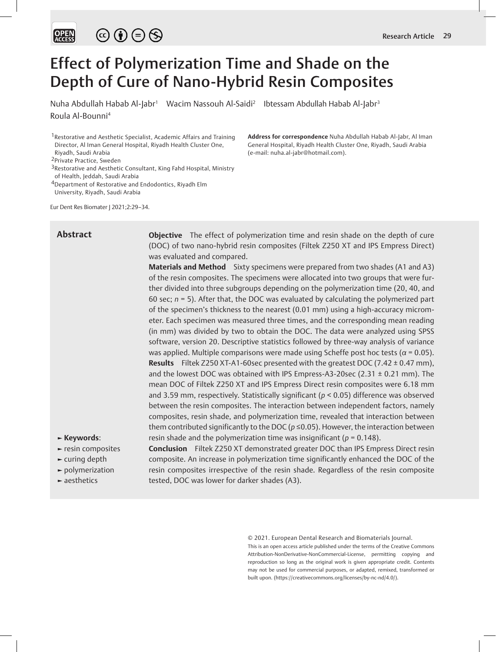# Effect of Polymerization Time and Shade on the Depth of Cure of Nano-Hybrid Resin Composites

Nuha Abdullah Habab Al-Jabr<sup>1</sup> Wacim Nassouh Al-Saidi<sup>2</sup> Ibtessam Abdullah Habab Al-Jabr<sup>3</sup> Roula Al-Bounni4

**Address for correspondence** Nuha Abdullah Habab Al-Jabr, Al Iman General Hospital, Riyadh Health Cluster One, Riyadh, Saudi Arabia

<sup>1</sup> Restorative and Aesthetic Specialist, Academic Affairs and Training Director, Al Iman General Hospital, Riyadh Health Cluster One, Riyadh, Saudi Arabia

2Private Practice, Sweden

4Department of Restorative and Endodontics, Riyadh Elm

University, Riyadh, Saudi Arabia

Eur Dent Res Biomater J 2021;2:29–34.

# **Abstract**

**Objective** The effect of polymerization time and resin shade on the depth of cure (DOC) of two nano-hybrid resin composites (Filtek Z250 XT and IPS Empress Direct) was evaluated and compared.

(e-mail: nuha.al-jabr@hotmail.com).

**Materials and Method** Sixty specimens were prepared from two shades (A1 and A3) of the resin composites. The specimens were allocated into two groups that were further divided into three subgroups depending on the polymerization time (20, 40, and 60 sec; *n* = 5). After that, the DOC was evaluated by calculating the polymerized part of the specimen's thickness to the nearest (0.01 mm) using a high-accuracy micrometer. Each specimen was measured three times, and the corresponding mean reading (in mm) was divided by two to obtain the DOC. The data were analyzed using SPSS software, version 20. Descriptive statistics followed by three-way analysis of variance was applied. Multiple comparisons were made using Scheffe post hoc tests (*α* = 0.05). **Results** Filtek Z250 XT-A1-60sec presented with the greatest DOC (7.42 ± 0.47 mm), and the lowest DOC was obtained with IPS Empress-A3-20sec (2.31 ± 0.21 mm). The mean DOC of Filtek Z250 XT and IPS Empress Direct resin composites were 6.18 mm and 3.59 mm, respectively. Statistically significant (*p* < 0.05) difference was observed between the resin composites. The interaction between independent factors, namely composites, resin shade, and polymerization time, revealed that interaction between them contributed significantly to the DOC ( $p \le 0.05$ ). However, the interaction between resin shade and the polymerization time was insignificant (*p* = 0.148).

- **► Keywords**:
- **►** resin composites
- **►** curing depth
- **►** polymerization
- **►** aesthetics

**Conclusion** Filtek Z250 XT demonstrated greater DOC than IPS Empress Direct resin composite. An increase in polymerization time significantly enhanced the DOC of the resin composites irrespective of the resin shade. Regardless of the resin composite tested, DOC was lower for darker shades (A3).

© 2021. European Dental Research and Biomaterials Journal.

This is an open access article published under the terms of the Creative Commons Attribution-NonDerivative-NonCommercial-License, permitting copying and reproduction so long as the original work is given appropriate credit. Contents may not be used for commercial purposes, or adapted, remixed, transformed or built upon. (https://creativecommons.org/licenses/by-nc-nd/4.0/).

<sup>3</sup>Restorative and Aesthetic Consultant, King Fahd Hospital, Ministry of Health, Jeddah, Saudi Arabia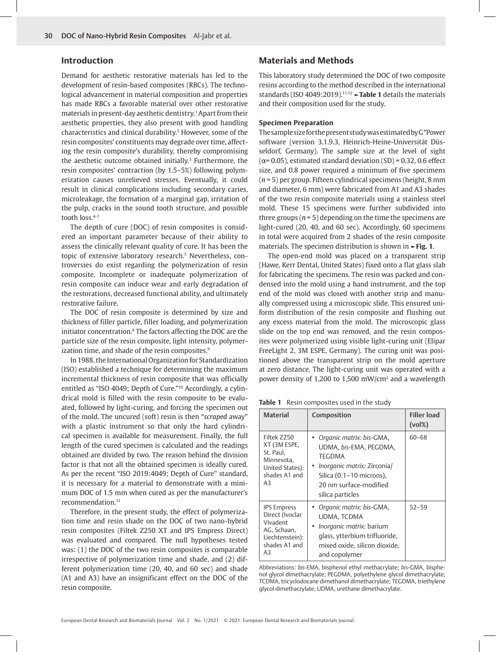## **Introduction**

Demand for aesthetic restorative materials has led to the development of resin-based composites (RBCs). The technological advancement in material composition and properties has made RBCs a favorable material over other restorative materials in present-day aesthetic dentistry.1 Apart from their aesthetic properties, they also present with good handling characteristics and clinical durability.<sup>2</sup> However, some of the resin composites' constituents may degrade over time, affecting the resin composite's durability, thereby compromising the aesthetic outcome obtained initially.<sup>3</sup> Furthermore, the resin composites' contraction (by 1.5–5%) following polymerization causes unrelieved stresses. Eventually, it could result in clinical complications including secondary caries, microleakage, the formation of a marginal gap, irritation of the pulp, cracks in the sound tooth structure, and possible tooth loss.4-7

The depth of cure (DOC) of resin composites is considered an important parameter because of their ability to assess the clinically relevant quality of cure. It has been the topic of extensive laboratory research.<sup>5</sup> Nevertheless, controversies do exist regarding the polymerization of resin composite. Incomplete or inadequate polymerization of resin composite can induce wear and early degradation of the restorations, decreased functional ability, and ultimately restorative failure.

The DOC of resin composite is determined by size and thickness of filler particle, filler loading, and polymerization initiator concentration.8 The factors affecting the DOC are the particle size of the resin composite, light intensity, polymerization time, and shade of the resin composites.<sup>9</sup>

In 1988, the International Organization for Standardization (ISO) established a technique for determining the maximum incremental thickness of resin composite that was officially entitled as "ISO 4049; Depth of Cure."10 Accordingly, a cylindrical mold is filled with the resin composite to be evaluated, followed by light-curing, and forcing the specimen out of the mold. The uncured (soft) resin is then "*scraped* away" with a plastic instrument so that only the hard cylindrical specimen is available for measurement. Finally, the full length of the cured specimen is calculated and the readings obtained are divided by two. The reason behind the division factor is that not all the obtained specimen is ideally cured. As per the recent "ISO 2019:4049; Depth of Cure" standard, it is necessary for a material to demonstrate with a minimum DOC of 1.5 mm when cured as per the manufacturer's recommendation.<sup>11</sup>

Therefore, in the present study, the effect of polymerization time and resin shade on the DOC of two nano-hybrid resin composites (Filtek Z250 XT and IPS Empress Direct) was evaluated and compared. The null hypotheses tested was: (1) the DOC of the two resin composites is comparable irrespective of polymerization time and shade, and (2) different polymerization time (20, 40, and 60 sec) and shade (A1 and A3) have an insignificant effect on the DOC of the resin composite.

## **Materials and Methods**

This laboratory study determined the DOC of two composite resins according to the method described in the international standards (ISO 4049:2019).11,12 **►Table 1** details the materials and their composition used for the study.

## **Specimen Preparation**

The sample size for the present study was estimated by G\*Power software (version 3.1.9.3, Heinrich-Heine-Universität Düsseldorf, Germany). The sample size at the level of sight ( $\alpha$ = 0.05), estimated standard deviation (SD) = 0.32, 0.6 effect size, and 0.8 power required a minimum of five specimens (*n* = 5) per group. Fifteen cylindrical specimens (height, 8 mm and diameter, 6 mm) were fabricated from A1 and A3 shades of the two resin composite materials using a stainless steel mold. These 15 specimens were further subdivided into three groups (*n* = 5) depending on the time the specimens are light-cured (20, 40, and 60 sec). Accordingly, 60 specimens in total were acquired from 2 shades of the resin composite materials. The specimen distribution is shown in **►Fig. 1**.

The open-end mold was placed on a transparent strip (Hawe, Kerr Dental, United States) fixed onto a flat glass slab for fabricating the specimens. The resin was packed and condensed into the mold using a hand instrument, and the top end of the mold was closed with another strip and manually compressed using a microscopic slide. This ensured uniform distribution of the resin composite and flushing out any excess material from the mold. The microscopic glass slide on the top end was removed, and the resin composites were polymerized using visible light-curing unit (Elipar FreeLight 2, 3M ESPE, Germany). The curing unit was positioned above the transparent strip on the mold aperture at zero distance. The light-curing unit was operated with a power density of 1,200 to 1,500 mW/cm<sup>2</sup> and a wavelength

**Table 1** Resin composites used in the study

| <b>Material</b>                                                                                            | Composition                                                                                                                                                             | <b>Filler load</b><br>$(vol\%)$ |
|------------------------------------------------------------------------------------------------------------|-------------------------------------------------------------------------------------------------------------------------------------------------------------------------|---------------------------------|
| Filtek Z250<br>XT (3M ESPE,<br>St. Paul.<br>Minnesota.<br>United States):<br>shades A1 and<br>A3           | • Organic matrix: bis-GMA,<br>UDMA, bis-EMA, PEGDMA,<br>TEGDMA<br>Inorganic matrix: Zirconia/<br>Silica (0.1-10 microns),<br>20 nm surface-modified<br>silica particles | $60 - 68$                       |
| <b>IPS Empress</b><br>Direct (Ivoclar<br>Vivadent<br>AG, Schaan,<br>Liechtenstein):<br>shades A1 and<br>A3 | Organic matrix: bis-GMA,<br>UDMA, TCDMA<br><i>Inorganic matrix:</i> barium<br>glass, ytterbium trifluoride,<br>mixed oxide, silicon dioxide,<br>and copolymer           | $52 - 59$                       |

Abbreviations: *bis*-EMA, bisphenol ethyl methacrylate; *bis*-GMA, bisphenol glycol dimethacrylate; PEGDMA, polyethylene glycol dimethacrylate; TCDMA, tricyclodocane dimethanol dimethacrylate; TEGDMA, triethylene glycol dimethacrylate; UDMA, urethane dimethacrylate.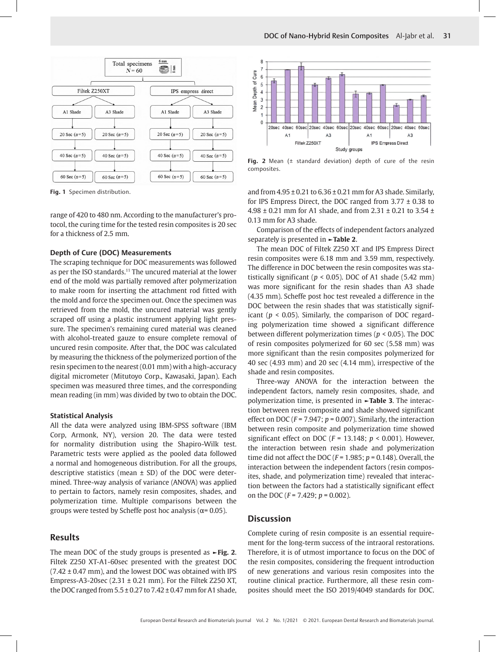

**Fig. 1** Specimen distribution.

range of 420 to 480 nm. According to the manufacturer's protocol, the curing time for the tested resin composites is 20 sec for a thickness of 2.5 mm.

## **Depth of Cure (DOC) Measurements**

The scraping technique for DOC measurements was followed as per the ISO standards.<sup>11</sup> The uncured material at the lower end of the mold was partially removed after polymerization to make room for inserting the attachment rod fitted with the mold and force the specimen out. Once the specimen was retrieved from the mold, the uncured material was gently scraped off using a plastic instrument applying light pressure. The specimen's remaining cured material was cleaned with alcohol-treated gauze to ensure complete removal of uncured resin composite. After that, the DOC was calculated by measuring the thickness of the polymerized portion of the resin specimen to the nearest (0.01 mm) with a high-accuracy digital micrometer (Mitutoyo Corp., Kawasaki, Japan). Each specimen was measured three times, and the corresponding mean reading (in mm) was divided by two to obtain the DOC.

#### **Statistical Analysis**

All the data were analyzed using IBM-SPSS software (IBM Corp, Armonk, NY), version 20. The data were tested for normality distribution using the Shapiro-Wilk test. Parametric tests were applied as the pooled data followed a normal and homogeneous distribution. For all the groups, descriptive statistics (mean  $\pm$  SD) of the DOC were determined. Three-way analysis of variance (ANOVA) was applied to pertain to factors, namely resin composites, shades, and polymerization time. Multiple comparisons between the groups were tested by Scheffe post hoc analysis ( $\alpha$ = 0.05).

## **Results**

The mean DOC of the study groups is presented as **►Fig. 2**. Filtek Z250 XT-A1-60sec presented with the greatest DOC  $(7.42 \pm 0.47 \text{ mm})$ , and the lowest DOC was obtained with IPS Empress-A3-20sec (2.31 ± 0.21 mm). For the Filtek Z250 XT, the DOC ranged from  $5.5 \pm 0.27$  to  $7.42 \pm 0.47$  mm for A1 shade,



**Fig. 2** Mean (± standard deviation) depth of cure of the resin composites.

and from  $4.95 \pm 0.21$  to  $6.36 \pm 0.21$  mm for A3 shade. Similarly, for IPS Empress Direct, the DOC ranged from 3.77 ± 0.38 to 4.98 ± 0.21 mm for A1 shade, and from 2.31 ± 0.21 to 3.54 ± 0.13 mm for A3 shade.

Comparison of the effects of independent factors analyzed separately is presented in **►Table 2**.

The mean DOC of Filtek Z250 XT and IPS Empress Direct resin composites were 6.18 mm and 3.59 mm, respectively. The difference in DOC between the resin composites was statistically significant ( $p < 0.05$ ). DOC of A1 shade (5.42 mm) was more significant for the resin shades than A3 shade (4.35 mm). Scheffe post hoc test revealed a difference in the DOC between the resin shades that was statistically significant (*p* < 0.05). Similarly, the comparison of DOC regarding polymerization time showed a significant difference between different polymerization times (*p* < 0.05). The DOC of resin composites polymerized for 60 sec (5.58 mm) was more significant than the resin composites polymerized for 40 sec (4.93 mm) and 20 sec (4.14 mm), irrespective of the shade and resin composites.

Three-way ANOVA for the interaction between the independent factors, namely resin composites, shade, and polymerization time, is presented in **►Table 3**. The interaction between resin composite and shade showed significant effect on DOC (*F* = 7.947; *p* = 0.007). Similarly, the interaction between resin composite and polymerization time showed significant effect on DOC (*F* = 13.148; *p* < 0.001). However, the interaction between resin shade and polymerization time did not affect the DOC (*F* = 1.985; *p* = 0.148). Overall, the interaction between the independent factors (resin composites, shade, and polymerization time) revealed that interaction between the factors had a statistically significant effect on the DOC (*F* = 7.429; *p* = 0.002).

## **Discussion**

Complete curing of resin composite is an essential requirement for the long-term success of the intraoral restorations. Therefore, it is of utmost importance to focus on the DOC of the resin composites, considering the frequent introduction of new generations and various resin composites into the routine clinical practice. Furthermore, all these resin composites should meet the ISO 2019/4049 standards for DOC.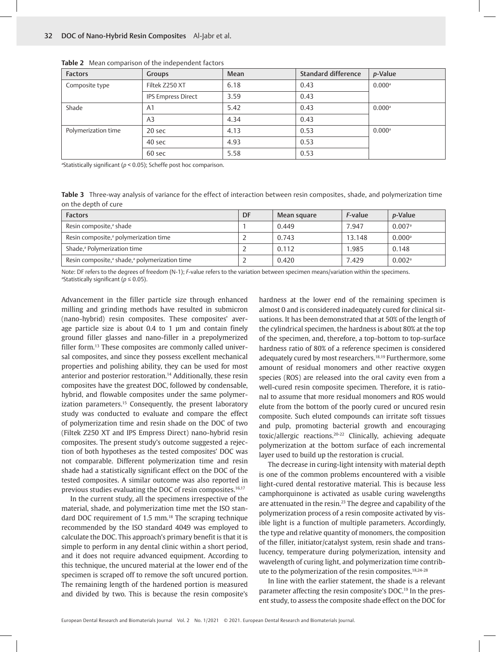| <b>Factors</b>      | <b>Groups</b>      | <b>Mean</b> | <b>Standard difference</b> | <i>p</i> -Value      |
|---------------------|--------------------|-------------|----------------------------|----------------------|
| Composite type      | Filtek Z250 XT     | 6.18        | 0.43                       | $0.000$ <sup>a</sup> |
|                     | IPS Empress Direct | 3.59        | 0.43                       |                      |
| Shade               | A <sub>1</sub>     | 5.42        | 0.43                       | $0.000$ <sup>a</sup> |
|                     | A <sub>3</sub>     | 4.34        | 0.43                       |                      |
| Polymerization time | 20 sec             | 4.13        | 0.53                       | $0.000$ <sup>a</sup> |
|                     | 40 sec             | 4.93        | 0.53                       |                      |
|                     | 60 sec             | 5.58        | 0.53                       |                      |

**Table 2** Mean comparison of the independent factors

<sup>a</sup>Statistically significant (*p* < 0.05); Scheffe post hoc comparison.

**Table 3** Three-way analysis of variance for the effect of interaction between resin composites, shade, and polymerization time on the depth of cure

| <b>Factors</b>                                                        | DF | Mean square | <i>F</i> -value | <i>p</i> -Value      |
|-----------------------------------------------------------------------|----|-------------|-----------------|----------------------|
| Resin composite, <sup>a</sup> shade                                   |    | 0.449       | 7.947           | $0.007$ <sup>a</sup> |
| Resin composite, <sup>a</sup> polymerization time                     |    | 0.743       | 13.148          | $0.000$ <sup>a</sup> |
| Shade, <sup>a</sup> Polymerization time                               |    | 0.112       | 1.985           | 0.148                |
| Resin composite, <sup>a</sup> shade, <sup>a</sup> polymerization time |    | 0.420       | 7.429           | $0.002$ <sup>a</sup> |

Note: DF refers to the degrees of freedom (N-1); *F*-value refers to the variation between specimen means/variation within the specimens. a Statistically significant (*p* ≤ 0.05).

Advancement in the filler particle size through enhanced milling and grinding methods have resulted in submicron (nano-hybrid) resin composites. These composites' average particle size is about 0.4 to 1 μm and contain finely ground filler glasses and nano-filler in a prepolymerized filler form.<sup>13</sup> These composites are commonly called universal composites, and since they possess excellent mechanical properties and polishing ability, they can be used for most anterior and posterior restoration.14 Additionally, these resin composites have the greatest DOC, followed by condensable, hybrid, and flowable composites under the same polymerization parameters.<sup>15</sup> Consequently, the present laboratory study was conducted to evaluate and compare the effect of polymerization time and resin shade on the DOC of two (Filtek Z250 XT and IPS Empress Direct) nano-hybrid resin composites. The present study's outcome suggested a rejection of both hypotheses as the tested composites' DOC was not comparable. Different polymerization time and resin shade had a statistically significant effect on the DOC of the tested composites. A similar outcome was also reported in previous studies evaluating the DOC of resin composites.<sup>16,17</sup>

In the current study, all the specimens irrespective of the material, shade, and polymerization time met the ISO standard DOC requirement of 1.5 mm.<sup>18</sup> The scraping technique recommended by the ISO standard 4049 was employed to calculate the DOC. This approach's primary benefit is that it is simple to perform in any dental clinic within a short period, and it does not require advanced equipment. According to this technique, the uncured material at the lower end of the specimen is scraped off to remove the soft uncured portion. The remaining length of the hardened portion is measured and divided by two. This is because the resin composite's

hardness at the lower end of the remaining specimen is almost 0 and is considered inadequately cured for clinical situations. It has been demonstrated that at 50% of the length of the cylindrical specimen, the hardness is about 80% at the top of the specimen, and, therefore, a top-bottom to top-surface hardness ratio of 80% of a reference specimen is considered adequately cured by most researchers.18,19 Furthermore, some amount of residual monomers and other reactive oxygen species (ROS) are released into the oral cavity even from a well-cured resin composite specimen. Therefore, it is rational to assume that more residual monomers and ROS would elute from the bottom of the poorly cured or uncured resin composite. Such eluted compounds can irritate soft tissues and pulp, promoting bacterial growth and encouraging toxic/allergic reactions.20-22 Clinically, achieving adequate polymerization at the bottom surface of each incremental layer used to build up the restoration is crucial.

The decrease in curing-light intensity with material depth is one of the common problems encountered with a visible light-cured dental restorative material. This is because less camphorquinone is activated as usable curing wavelengths are attenuated in the resin.<sup>23</sup> The degree and capability of the polymerization process of a resin composite activated by visible light is a function of multiple parameters. Accordingly, the type and relative quantity of monomers, the composition of the filler, initiator/catalyst system, resin shade and translucency, temperature during polymerization, intensity and wavelength of curing light, and polymerization time contribute to the polymerization of the resin composites.18,24-28

In line with the earlier statement, the shade is a relevant parameter affecting the resin composite's DOC.19 In the present study, to assess the composite shade effect on the DOC for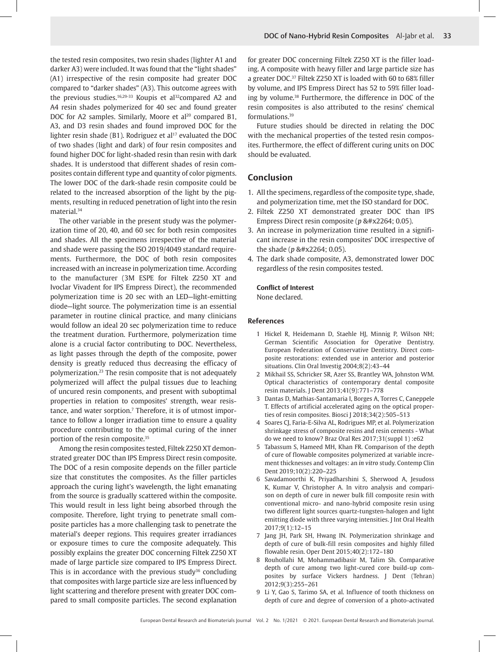the tested resin composites, two resin shades (lighter A1 and darker A3) were included. It was found that the "light shades" (A1) irrespective of the resin composite had greater DOC compared to "darker shades" (A3). This outcome agrees with the previous studies.<sup>16,29-33</sup> Koupis et al<sup>32</sup>compared A2 and A4 resin shades polymerized for 40 sec and found greater DOC for A2 samples. Similarly, Moore et al<sup>20</sup> compared B1, A3, and D3 resin shades and found improved DOC for the lighter resin shade (B1). Rodriguez et al<sup>17</sup> evaluated the DOC of two shades (light and dark) of four resin composites and found higher DOC for light-shaded resin than resin with dark shades. It is understood that different shades of resin composites contain different type and quantity of color pigments. The lower DOC of the dark-shade resin composite could be related to the increased absorption of the light by the pigments, resulting in reduced penetration of light into the resin material.34

The other variable in the present study was the polymerization time of 20, 40, and 60 sec for both resin composites and shades. All the specimens irrespective of the material and shade were passing the ISO 2019/4049 standard requirements. Furthermore, the DOC of both resin composites increased with an increase in polymerization time. According to the manufacturer (3M ESPE for Filtek Z250 XT and Ivoclar Vivadent for IPS Empress Direct), the recommended polymerization time is 20 sec with an LED—light-emitting diode—light source. The polymerization time is an essential parameter in routine clinical practice, and many clinicians would follow an ideal 20 sec polymerization time to reduce the treatment duration. Furthermore, polymerization time alone is a crucial factor contributing to DOC. Nevertheless, as light passes through the depth of the composite, power density is greatly reduced thus decreasing the efficacy of polymerization.23 The resin composite that is not adequately polymerized will affect the pulpal tissues due to leaching of uncured resin components, and present with suboptimal properties in relation to composites' strength, wear resistance, and water sorption.<sup>7</sup> Therefore, it is of utmost importance to follow a longer irradiation time to ensure a quality procedure contributing to the optimal curing of the inner portion of the resin composite.35

Among the resin composites tested, Filtek Z250 XT demonstrated greater DOC than IPS Empress Direct resin composite. The DOC of a resin composite depends on the filler particle size that constitutes the composites. As the filler particles approach the curing light's wavelength, the light emanating from the source is gradually scattered within the composite. This would result in less light being absorbed through the composite. Therefore, light trying to penetrate small composite particles has a more challenging task to penetrate the material's deeper regions. This requires greater irradiances or exposure times to cure the composite adequately. This possibly explains the greater DOC concerning Filtek Z250 XT made of large particle size compared to IPS Empress Direct. This is in accordance with the previous study $36$  concluding that composites with large particle size are less influenced by light scattering and therefore present with greater DOC compared to small composite particles. The second explanation

for greater DOC concerning Filtek Z250 XT is the filler loading. A composite with heavy filler and large particle size has a greater DOC.37 Filtek Z250 XT is loaded with 60 to 68% filler by volume, and IPS Empress Direct has 52 to 59% filler loading by volume.38 Furthermore, the difference in DOC of the resin composites is also attributed to the resins' chemical formulations.39

Future studies should be directed in relating the DOC with the mechanical properties of the tested resin composites. Furthermore, the effect of different curing units on DOC should be evaluated.

## **Conclusion**

- 1. All the specimens, regardless of the composite type, shade, and polymerization time, met the ISO standard for DOC.
- 2. Filtek Z250 XT demonstrated greater DOC than IPS Empress Direct resin composite ( $p$  ≤ 0.05).
- 3. An increase in polymerization time resulted in a significant increase in the resin composites' DOC irrespective of the shade ( $p$  ≤ 0.05).
- 4. The dark shade composite, A3, demonstrated lower DOC regardless of the resin composites tested.

#### **Conflict of Interest**

None declared.

#### **References**

- 1 Hickel R, Heidemann D, Staehle HJ, Minnig P, Wilson NH; German Scientific Association for Operative Dentistry. European Federation of Conservative Dentistry. Direct composite restorations: extended use in anterior and posterior situations. Clin Oral Investig 2004;8(2):43–44
- 2 Mikhail SS, Schricker SR, Azer SS, Brantley WA, Johnston WM. Optical characteristics of contemporary dental composite resin materials. J Dent 2013;41(9):771–778
- 3 Dantas D, Mathias-Santamaria I, Borges A, Torres C, Caneppele T. Effects of artificial accelerated aging on the optical properties of resin composites. Biosci J 2018;34(2):505–513
- 4 Soares CJ, Faria-E-Silva AL, Rodrigues MP, et al. Polymerization shrinkage stress of composite resins and resin cements - What do we need to know? Braz Oral Res 2017;31(suppl 1) :e62
- 5 Tabassum S, Hameed MH, Khan FR. Comparison of the depth of cure of flowable composites polymerized at variable increment thicknesses and voltages: an *in vitro* study. Contemp Clin Dent 2019;10(2):220–225
- 6 Savadamoorthi K, Priyadharshini S, Sherwood A, Jesudoss K, Kumar V, Christopher A. In vitro analysis and comparison on depth of cure in newer bulk fill composite resin with conventional micro- and nano-hybrid composite resin using two different light sources quartz-tungsten-halogen and light emitting diode with three varying intensities. J Int Oral Health 2017;9(1):12–15
- 7 Jang JH, Park SH, Hwang IN. Polymerization shrinkage and depth of cure of bulk-fill resin composites and highly filled flowable resin. Oper Dent 2015;40(2):172–180
- 8 Rouhollahi M, Mohammadibasir M, Talim Sh. Comparative depth of cure among two light-cured core build-up composites by surface Vickers hardness. J Dent (Tehran) 2012;9(3):255–261
- 9 Li Y, Gao S, Tarimo SA, et al. Influence of tooth thickness on depth of cure and degree of conversion of a photo-activated